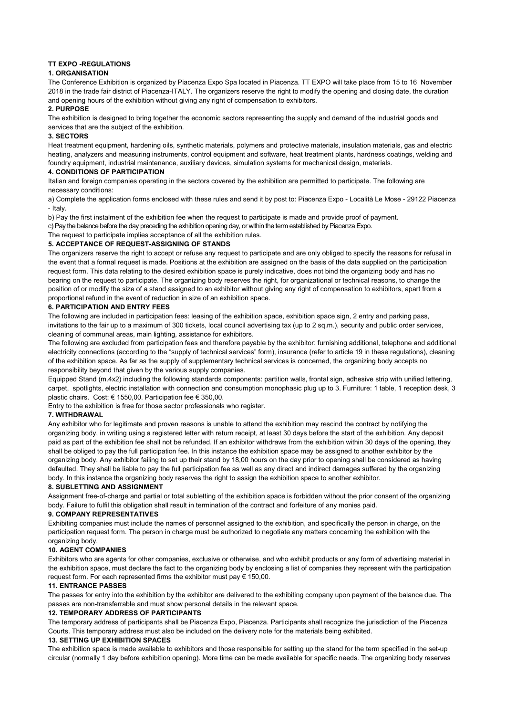# TT EXPO -REGULATIONS

## 1. ORGANISATION

The Conference Exhibition is organized by Piacenza Expo Spa located in Piacenza. TT EXPO will take place from 15 to 16 November 2018 in the trade fair district of Piacenza-ITALY. The organizers reserve the right to modify the opening and closing date, the duration and opening hours of the exhibition without giving any right of compensation to exhibitors.

#### 2. PURPOSE

The exhibition is designed to bring together the economic sectors representing the supply and demand of the industrial goods and services that are the subject of the exhibition.

### 3. SECTORS

Heat treatment equipment, hardening oils, synthetic materials, polymers and protective materials, insulation materials, gas and electric heating, analyzers and measuring instruments, control equipment and software, heat treatment plants, hardness coatings, welding and foundry equipment, industrial maintenance, auxiliary devices, simulation systems for mechanical design, materials.

### 4. CONDITIONS OF PARTICIPATION

Italian and foreign companies operating in the sectors covered by the exhibition are permitted to participate. The following are necessary conditions:

a) Complete the application forms enclosed with these rules and send it by post to: Piacenza Expo - Località Le Mose - 29122 Piacenza - Italy.

b) Pay the first instalment of the exhibition fee when the request to participate is made and provide proof of payment.

c) Pay the balance before the day preceding the exhibition opening day, or within the term established by Piacenza Expo.

The request to participate implies acceptance of all the exhibition rules.

### 5. ACCEPTANCE OF REQUEST-ASSIGNING OF STANDS

The organizers reserve the right to accept or refuse any request to participate and are only obliged to specify the reasons for refusal in the event that a formal request is made. Positions at the exhibition are assigned on the basis of the data supplied on the participation request form. This data relating to the desired exhibition space is purely indicative, does not bind the organizing body and has no bearing on the request to participate. The organizing body reserves the right, for organizational or technical reasons, to change the position of or modify the size of a stand assigned to an exhibitor without giving any right of compensation to exhibitors, apart from a proportional refund in the event of reduction in size of an exhibition space.

### 6. PARTICIPATION AND ENTRY FEES

The following are included in participation fees: leasing of the exhibition space, exhibition space sign, 2 entry and parking pass, invitations to the fair up to a maximum of 300 tickets, local council advertising tax (up to 2 sq.m.), security and public order services, cleaning of communal areas, main lighting, assistance for exhibitors.

The following are excluded from participation fees and therefore payable by the exhibitor: furnishing additional, telephone and additional electricity connections (according to the "supply of technical services" form), insurance (refer to article 19 in these regulations), cleaning of the exhibition space. As far as the supply of supplementary technical services is concerned, the organizing body accepts no responsibility beyond that given by the various supply companies.

Equipped Stand (m.4x2) including the following standards components: partition walls, frontal sign, adhesive strip with unified lettering, carpet, spotlights, electric installation with connection and consumption monophasic plug up to 3. Furniture: 1 table, 1 reception desk, 3 plastic chairs. Cost: € 1550,00. Participation fee € 350,00.

Entry to the exhibition is free for those sector professionals who register.

#### 7. WITHDRAWAL

Any exhibitor who for legitimate and proven reasons is unable to attend the exhibition may rescind the contract by notifying the organizing body, in writing using a registered letter with return receipt, at least 30 days before the start of the exhibition. Any deposit paid as part of the exhibition fee shall not be refunded. If an exhibitor withdraws from the exhibition within 30 days of the opening, they shall be obliged to pay the full participation fee. In this instance the exhibition space may be assigned to another exhibitor by the organizing body. Any exhibitor failing to set up their stand by 18,00 hours on the day prior to opening shall be considered as having defaulted. They shall be liable to pay the full participation fee as well as any direct and indirect damages suffered by the organizing body. In this instance the organizing body reserves the right to assign the exhibition space to another exhibitor.

# 8. SUBLETTING AND ASSIGNMENT

Assignment free-of-charge and partial or total subletting of the exhibition space is forbidden without the prior consent of the organizing body. Failure to fulfil this obligation shall result in termination of the contract and forfeiture of any monies paid.

### 9. COMPANY REPRESENTATIVES

Exhibiting companies must include the names of personnel assigned to the exhibition, and specifically the person in charge, on the participation request form. The person in charge must be authorized to negotiate any matters concerning the exhibition with the organizing body.

#### 10. AGENT COMPANIES

Exhibitors who are agents for other companies, exclusive or otherwise, and who exhibit products or any form of advertising material in the exhibition space, must declare the fact to the organizing body by enclosing a list of companies they represent with the participation request form. For each represented firms the exhibitor must pay € 150,00.

## 11. ENTRANCE PASSES

The passes for entry into the exhibition by the exhibitor are delivered to the exhibiting company upon payment of the balance due. The passes are non-transferrable and must show personal details in the relevant space.

## 12. TEMPORARY ADDRESS OF PARTICIPANTS

The temporary address of participants shall be Piacenza Expo, Piacenza. Participants shall recognize the jurisdiction of the Piacenza Courts. This temporary address must also be included on the delivery note for the materials being exhibited.

### 13. SETTING UP EXHIBITION SPACES

The exhibition space is made available to exhibitors and those responsible for setting up the stand for the term specified in the set-up circular (normally 1 day before exhibition opening). More time can be made available for specific needs. The organizing body reserves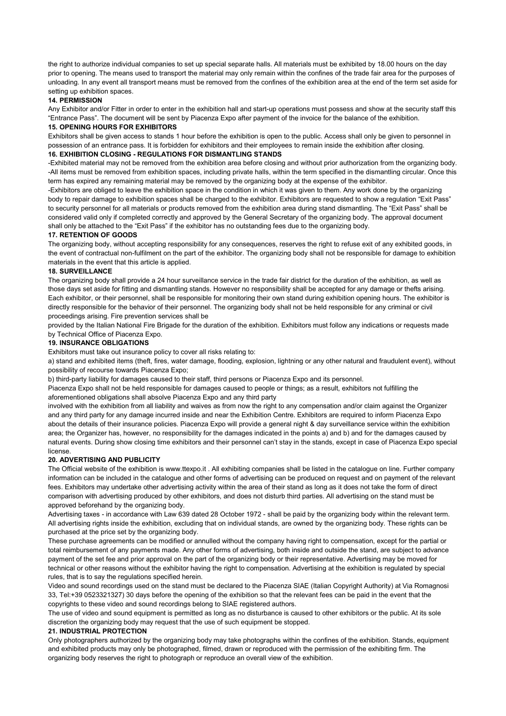the right to authorize individual companies to set up special separate halls. All materials must be exhibited by 18.00 hours on the day prior to opening. The means used to transport the material may only remain within the confines of the trade fair area for the purposes of unloading. In any event all transport means must be removed from the confines of the exhibition area at the end of the term set aside for setting up exhibition spaces.

### 14. PERMISSION

Any Exhibitor and/or Fitter in order to enter in the exhibition hall and start-up operations must possess and show at the security staff this "Entrance Pass". The document will be sent by Piacenza Expo after payment of the invoice for the balance of the exhibition.

# 15. OPENING HOURS FOR EXHIBITORS

Exhibitors shall be given access to stands 1 hour before the exhibition is open to the public. Access shall only be given to personnel in possession of an entrance pass. It is forbidden for exhibitors and their employees to remain inside the exhibition after closing.

## 16. EXHIBITION CLOSING - REGULATIONS FOR DISMANTLING STANDS

-Exhibited material may not be removed from the exhibition area before closing and without prior authorization from the organizing body. -All items must be removed from exhibition spaces, including private halls, within the term specified in the dismantling circular. Once this term has expired any remaining material may be removed by the organizing body at the expense of the exhibitor.

-Exhibitors are obliged to leave the exhibition space in the condition in which it was given to them. Any work done by the organizing body to repair damage to exhibition spaces shall be charged to the exhibitor. Exhibitors are requested to show a regulation "Exit Pass" to security personnel for all materials or products removed from the exhibition area during stand dismantling. The "Exit Pass" shall be considered valid only if completed correctly and approved by the General Secretary of the organizing body. The approval document shall only be attached to the "Exit Pass" if the exhibitor has no outstanding fees due to the organizing body.

### 17. RETENTION OF GOODS

The organizing body, without accepting responsibility for any consequences, reserves the right to refuse exit of any exhibited goods, in the event of contractual non-fulfilment on the part of the exhibitor. The organizing body shall not be responsible for damage to exhibition materials in the event that this article is applied.

### 18. SURVEILLANCE

The organizing body shall provide a 24 hour surveillance service in the trade fair district for the duration of the exhibition, as well as those days set aside for fitting and dismantling stands. However no responsibility shall be accepted for any damage or thefts arising. Each exhibitor, or their personnel, shall be responsible for monitoring their own stand during exhibition opening hours. The exhibitor is directly responsible for the behavior of their personnel. The organizing body shall not be held responsible for any criminal or civil proceedings arising. Fire prevention services shall be

provided by the Italian National Fire Brigade for the duration of the exhibition. Exhibitors must follow any indications or requests made by Technical Office of Piacenza Expo.

### 19. INSURANCE OBLIGATIONS

Exhibitors must take out insurance policy to cover all risks relating to:

a) stand and exhibited items (theft, fires, water damage, flooding, explosion, lightning or any other natural and fraudulent event), without possibility of recourse towards Piacenza Expo;

b) third-party liability for damages caused to their staff, third persons or Piacenza Expo and its personnel.

Piacenza Expo shall not be held responsible for damages caused to people or things; as a result, exhibitors not fulfilling the aforementioned obligations shall absolve Piacenza Expo and any third party

involved with the exhibition from all liability and waives as from now the right to any compensation and/or claim against the Organizer and any third party for any damage incurred inside and near the Exhibition Centre. Exhibitors are required to inform Piacenza Expo about the details of their insurance policies. Piacenza Expo will provide a general night & day surveillance service within the exhibition area; the Organizer has, however, no responsibility for the damages indicated in the points a) and b) and for the damages caused by natural events. During show closing time exhibitors and their personnel can't stay in the stands, except in case of Piacenza Expo special license.

## 20. ADVERTISING AND PUBLICITY

The Official website of the exhibition is www.ttexpo.it . All exhibiting companies shall be listed in the catalogue on line. Further company information can be included in the catalogue and other forms of advertising can be produced on request and on payment of the relevant fees. Exhibitors may undertake other advertising activity within the area of their stand as long as it does not take the form of direct comparison with advertising produced by other exhibitors, and does not disturb third parties. All advertising on the stand must be approved beforehand by the organizing body.

Advertising taxes - in accordance with Law 639 dated 28 October 1972 - shall be paid by the organizing body within the relevant term. All advertising rights inside the exhibition, excluding that on individual stands, are owned by the organizing body. These rights can be purchased at the price set by the organizing body.

These purchase agreements can be modified or annulled without the company having right to compensation, except for the partial or total reimbursement of any payments made. Any other forms of advertising, both inside and outside the stand, are subject to advance payment of the set fee and prior approval on the part of the organizing body or their representative. Advertising may be moved for technical or other reasons without the exhibitor having the right to compensation. Advertising at the exhibition is regulated by special rules, that is to say the regulations specified herein.

Video and sound recordings used on the stand must be declared to the Piacenza SIAE (Italian Copyright Authority) at Via Romagnosi 33, Tel:+39 0523321327) 30 days before the opening of the exhibition so that the relevant fees can be paid in the event that the copyrights to these video and sound recordings belong to SIAE registered authors.

The use of video and sound equipment is permitted as long as no disturbance is caused to other exhibitors or the public. At its sole discretion the organizing body may request that the use of such equipment be stopped.

### 21. INDUSTRIAL PROTECTION

Only photographers authorized by the organizing body may take photographs within the confines of the exhibition. Stands, equipment and exhibited products may only be photographed, filmed, drawn or reproduced with the permission of the exhibiting firm. The organizing body reserves the right to photograph or reproduce an overall view of the exhibition.